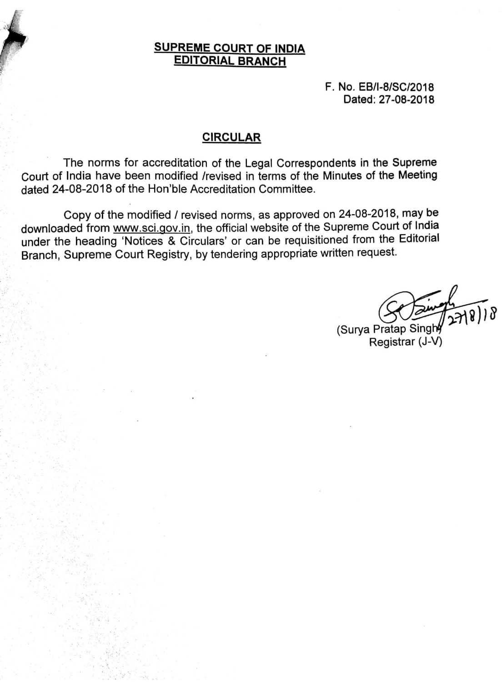# **SUPREME COURT OF INDIA EDITORIAL BRANCH**

F. No. EB/I-8/SC/2018 Dated: 27-08-2018

# **CIRCULAR**

The norms for accreditation of the Legal Correspondents in the Supreme Court of India have been modified /revised in terms of the Minutes of the Meeting dated 24-08-2018 of the Hon'ble Accreditation Committee.

Copy of the modified / revised norms, as approved on 24-08-2018, may be downloaded from www.sci.gov.in, the official website of the Supreme Court of India under the heading 'Notices & Circulars' or can be requisitioned from the Editorial Branch, Supreme Court Registry, by tendering appropriate written request.

(Surya Pratap Singhy Registrar (J-V)

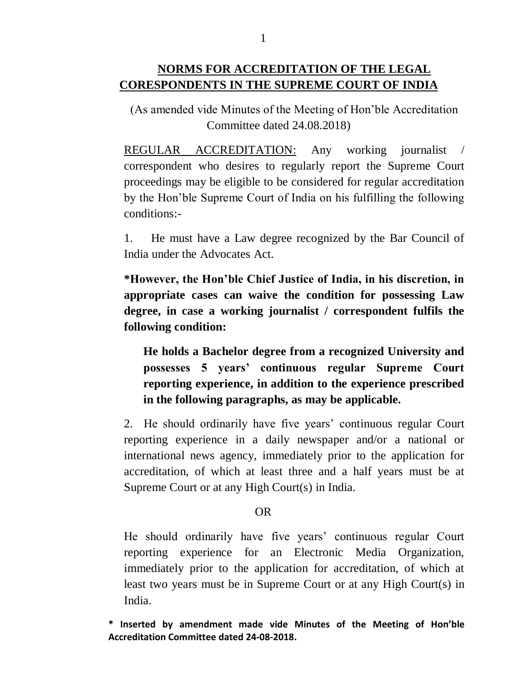# **NORMS FOR ACCREDITATION OF THE LEGAL CORESPONDENTS IN THE SUPREME COURT OF INDIA**

(As amended vide Minutes of the Meeting of Hon'ble Accreditation Committee dated 24.08.2018)

REGULAR ACCREDITATION: Any working journalist correspondent who desires to regularly report the Supreme Court proceedings may be eligible to be considered for regular accreditation by the Hon'ble Supreme Court of India on his fulfilling the following conditions:-

1. He must have a Law degree recognized by the Bar Council of India under the Advocates Act.

**\*However, the Hon'ble Chief Justice of India, in his discretion, in appropriate cases can waive the condition for possessing Law degree, in case a working journalist / correspondent fulfils the following condition:** 

**He holds a Bachelor degree from a recognized University and possesses 5 years' continuous regular Supreme Court reporting experience, in addition to the experience prescribed in the following paragraphs, as may be applicable.**

2. He should ordinarily have five years' continuous regular Court reporting experience in a daily newspaper and/or a national or international news agency, immediately prior to the application for accreditation, of which at least three and a half years must be at Supreme Court or at any High Court(s) in India.

#### OR

He should ordinarily have five years' continuous regular Court reporting experience for an Electronic Media Organization, immediately prior to the application for accreditation, of which at least two years must be in Supreme Court or at any High Court(s) in India.

**\* Inserted by amendment made vide Minutes of the Meeting of Hon'ble Accreditation Committee dated 24-08-2018.**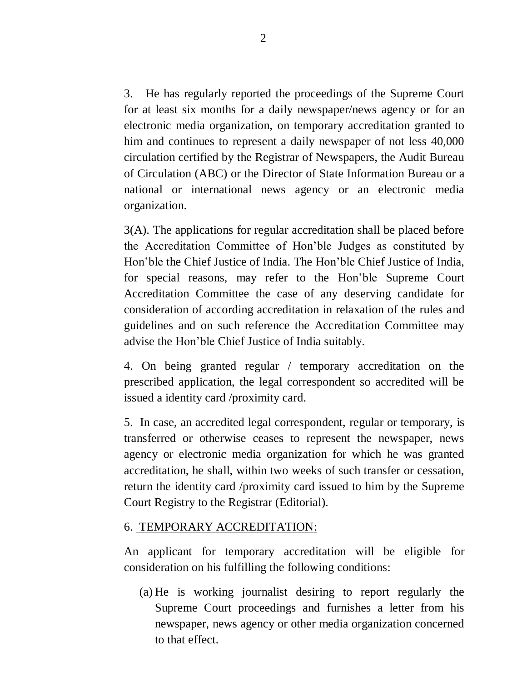3. He has regularly reported the proceedings of the Supreme Court for at least six months for a daily newspaper/news agency or for an electronic media organization, on temporary accreditation granted to him and continues to represent a daily newspaper of not less 40,000 circulation certified by the Registrar of Newspapers, the Audit Bureau of Circulation (ABC) or the Director of State Information Bureau or a national or international news agency or an electronic media organization.

3(A). The applications for regular accreditation shall be placed before the Accreditation Committee of Hon'ble Judges as constituted by Hon'ble the Chief Justice of India. The Hon'ble Chief Justice of India, for special reasons, may refer to the Hon'ble Supreme Court Accreditation Committee the case of any deserving candidate for consideration of according accreditation in relaxation of the rules and guidelines and on such reference the Accreditation Committee may advise the Hon'ble Chief Justice of India suitably.

4. On being granted regular / temporary accreditation on the prescribed application, the legal correspondent so accredited will be issued a identity card /proximity card.

5. In case, an accredited legal correspondent, regular or temporary, is transferred or otherwise ceases to represent the newspaper, news agency or electronic media organization for which he was granted accreditation, he shall, within two weeks of such transfer or cessation, return the identity card /proximity card issued to him by the Supreme Court Registry to the Registrar (Editorial).

#### 6. TEMPORARY ACCREDITATION:

An applicant for temporary accreditation will be eligible for consideration on his fulfilling the following conditions:

(a) He is working journalist desiring to report regularly the Supreme Court proceedings and furnishes a letter from his newspaper, news agency or other media organization concerned to that effect.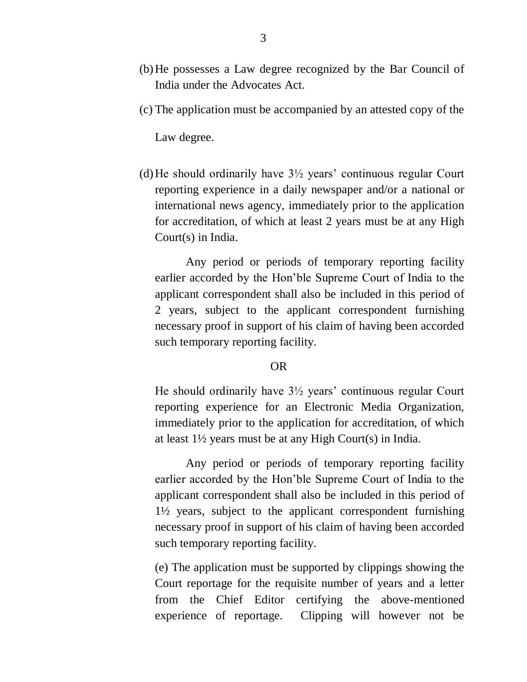- (b)He possesses a Law degree recognized by the Bar Council of India under the Advocates Act.
- (c) The application must be accompanied by an attested copy of the

Law degree.

(d) He should ordinarily have  $3\frac{1}{2}$  years' continuous regular Court reporting experience in a daily newspaper and/or a national or international news agency, immediately prior to the application for accreditation, of which at least 2 years must be at any High Court(s) in India.

Any period or periods of temporary reporting facility earlier accorded by the Hon'ble Supreme Court of India to the applicant correspondent shall also be included in this period of 2 years, subject to the applicant correspondent furnishing necessary proof in support of his claim of having been accorded such temporary reporting facility.

#### OR

He should ordinarily have 3½ years' continuous regular Court reporting experience for an Electronic Media Organization, immediately prior to the application for accreditation, of which at least 1½ years must be at any High Court(s) in India.

Any period or periods of temporary reporting facility earlier accorded by the Hon'ble Supreme Court of India to the applicant correspondent shall also be included in this period of 1½ years, subject to the applicant correspondent furnishing necessary proof in support of his claim of having been accorded such temporary reporting facility.

(e) The application must be supported by clippings showing the Court reportage for the requisite number of years and a letter from the Chief Editor certifying the above-mentioned experience of reportage. Clipping will however not be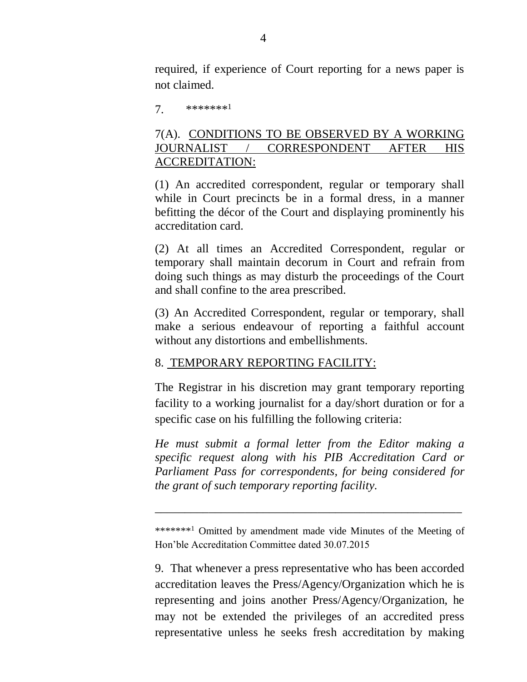required, if experience of Court reporting for a news paper is not claimed.

7. \*\*\*\*\*\*\*<sup>1</sup>

## 7(A). CONDITIONS TO BE OBSERVED BY A WORKING JOURNALIST / CORRESPONDENT AFTER HIS ACCREDITATION:

(1) An accredited correspondent, regular or temporary shall while in Court precincts be in a formal dress, in a manner befitting the décor of the Court and displaying prominently his accreditation card.

(2) At all times an Accredited Correspondent, regular or temporary shall maintain decorum in Court and refrain from doing such things as may disturb the proceedings of the Court and shall confine to the area prescribed.

(3) An Accredited Correspondent, regular or temporary, shall make a serious endeavour of reporting a faithful account without any distortions and embellishments.

### 8. TEMPORARY REPORTING FACILITY:

The Registrar in his discretion may grant temporary reporting facility to a working journalist for a day/short duration or for a specific case on his fulfilling the following criteria:

*He must submit a formal letter from the Editor making a specific request along with his PIB Accreditation Card or Parliament Pass for correspondents, for being considered for the grant of such temporary reporting facility.*

\*\*\*\*\*\*\*<sup>1</sup> Omitted by amendment made vide Minutes of the Meeting of Hon'ble Accreditation Committee dated 30.07.2015

\_\_\_\_\_\_\_\_\_\_\_\_\_\_\_\_\_\_\_\_\_\_\_\_\_\_\_\_\_\_\_\_\_\_\_\_\_\_\_\_\_\_\_\_\_\_\_\_\_\_\_

9. That whenever a press representative who has been accorded accreditation leaves the Press/Agency/Organization which he is representing and joins another Press/Agency/Organization, he may not be extended the privileges of an accredited press representative unless he seeks fresh accreditation by making